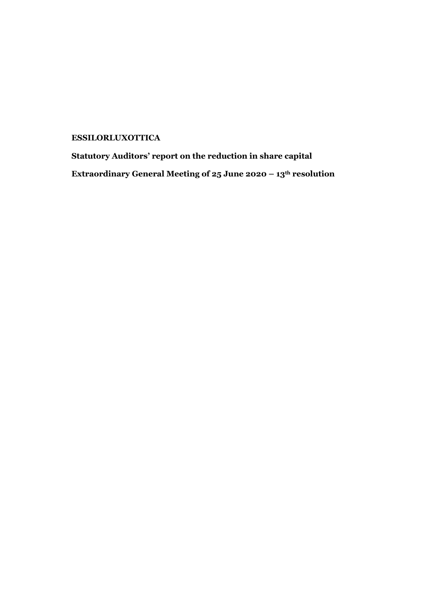## **ESSILORLUXOTTICA**

**Statutory Auditors' report on the reduction in share capital Extraordinary General Meeting of 25 June 2020 – 13th resolution**